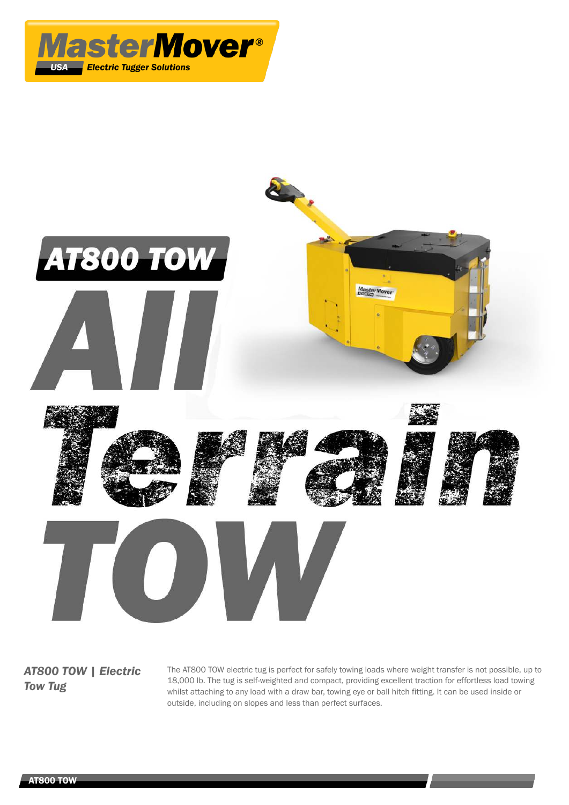



*AT800 TOW | Electric Tow Tug*

The AT800 TOW electric tug is perfect for safely towing loads where weight transfer is not possible, up to 18,000 lb. The tug is self-weighted and compact, providing excellent traction for effortless load towing whilst attaching to any load with a draw bar, towing eye or ball hitch fitting. It can be used inside or outside, including on slopes and less than perfect surfaces.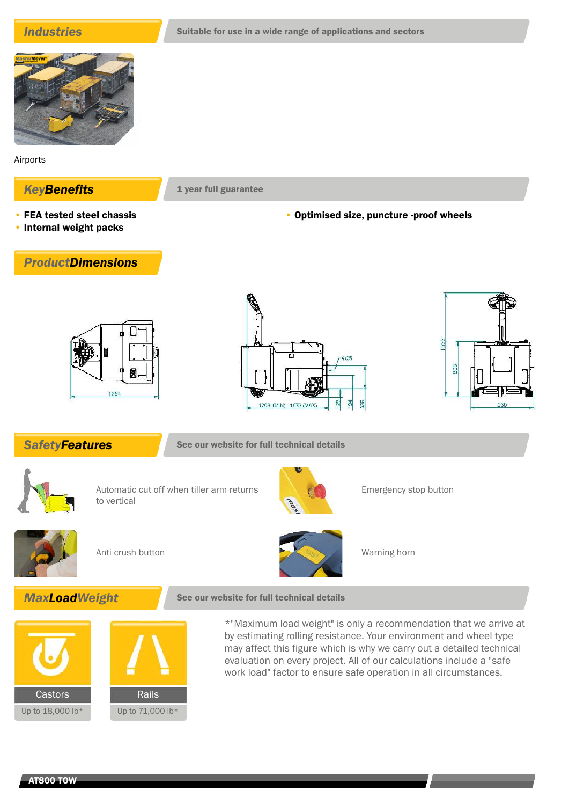

Airports

## **KeyBenefits** 1 year full guarantee

- FEA tested steel chassis
- Internal weight packs

## • Optimised size, puncture -proof wheels









**SafetyFeatures** See our website for full technical details



Automatic cut off when tiller arm returns to vertical



Emergency stop button





# **MaxLoadWeight** See our website for full technical details

Castors Rails Up to 18,000 lb\* Up to 71,000 lb\*

\*"Maximum load weight" is only a recommendation that we arrive at by estimating rolling resistance. Your environment and wheel type may affect this figure which is why we carry out a detailed technical evaluation on every project. All of our calculations include a "safe work load" factor to ensure safe operation in all circumstances.

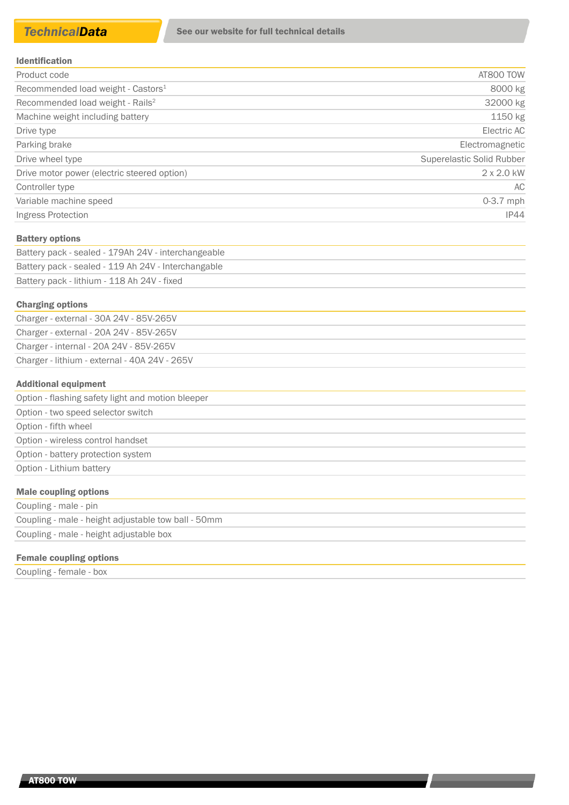| <b>Identification</b> |  |  |  |  |  |  |  |  |  |  |  |  |
|-----------------------|--|--|--|--|--|--|--|--|--|--|--|--|
|-----------------------|--|--|--|--|--|--|--|--|--|--|--|--|

| AT800 TOW                 |
|---------------------------|
| 8000 kg                   |
| 32000 kg                  |
| 1150 kg                   |
| Electric AC               |
| Electromagnetic           |
| Superelastic Solid Rubber |
| $2 \times 2.0$ kW         |
| AC.                       |
| $0-3.7$ mph               |
| IP44                      |
|                           |

#### Battery options

| Battery pack - sealed - 179Ah 24V - interchangeable |  |
|-----------------------------------------------------|--|
| Battery pack - sealed - 119 Ah 24V - Interchangable |  |
| Battery pack - lithium - 118 Ah 24V - fixed         |  |

#### Charging options

| Charger - external - 30A 24V - 85V-265V       |  |
|-----------------------------------------------|--|
| Charger - external - 20A 24V - 85V-265V       |  |
| Charger - internal - 20A 24V - 85V-265V       |  |
| Charger - lithium - external - 40A 24V - 265V |  |
|                                               |  |

#### Additional equipment

| Option - flashing safety light and motion bleeper |
|---------------------------------------------------|
| Option - two speed selector switch                |
| Option - fifth wheel                              |
| Option - wireless control handset                 |
| Option - battery protection system                |
| Option - Lithium battery                          |
| <b>Male coupling options</b>                      |

| Coupling - male - pin                               |  |
|-----------------------------------------------------|--|
| Coupling - male - height adjustable tow ball - 50mm |  |
| Coupling - male - height adjustable box             |  |

### Female coupling options

Coupling - female - box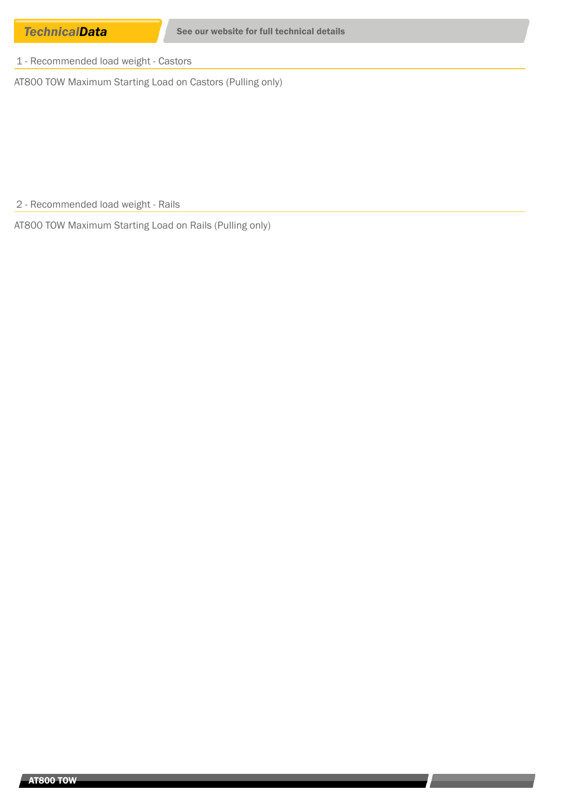1 - Recommended load weight - Castors

AT800 TOW Maximum Starting Load on Castors (Pulling only)

2 - Recommended load weight - Rails

AT800 TOW Maximum Starting Load on Rails (Pulling only)